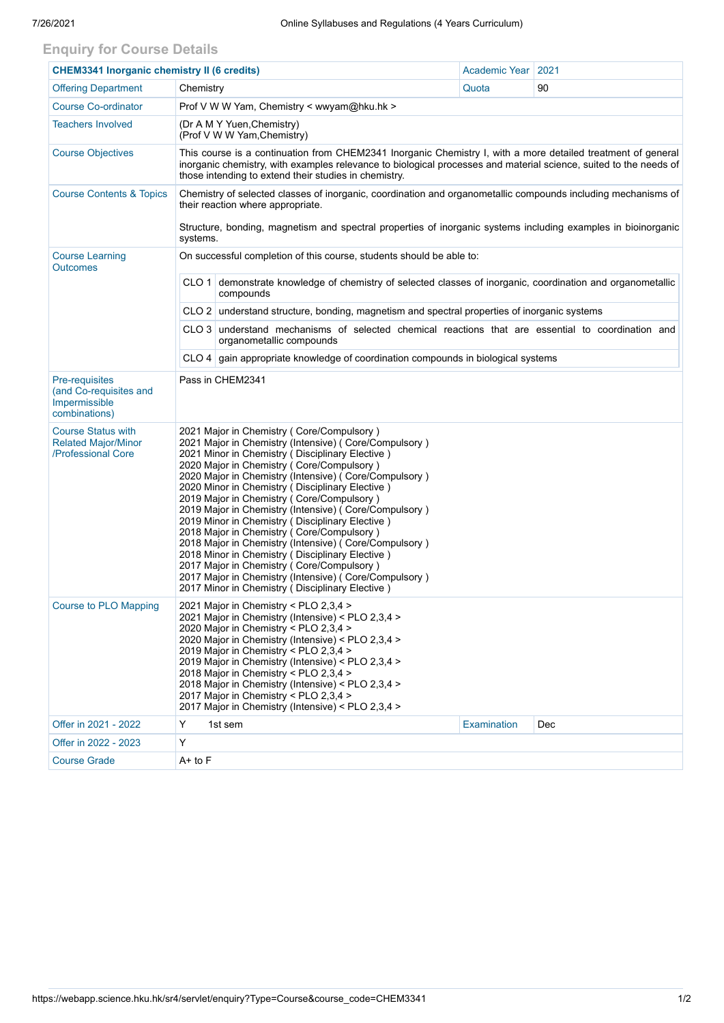## **Enquiry for Course Details**

| <b>CHEM3341 Inorganic chemistry II (6 credits)</b>                            |                                                                                                                                                                                                                                                                                                                                                                                                                                                                                                                                                                                                                                                                                                                                                                                             |                                                                                                                               | Academic Year | 2021 |  |  |  |  |
|-------------------------------------------------------------------------------|---------------------------------------------------------------------------------------------------------------------------------------------------------------------------------------------------------------------------------------------------------------------------------------------------------------------------------------------------------------------------------------------------------------------------------------------------------------------------------------------------------------------------------------------------------------------------------------------------------------------------------------------------------------------------------------------------------------------------------------------------------------------------------------------|-------------------------------------------------------------------------------------------------------------------------------|---------------|------|--|--|--|--|
| <b>Offering Department</b>                                                    | Chemistry                                                                                                                                                                                                                                                                                                                                                                                                                                                                                                                                                                                                                                                                                                                                                                                   |                                                                                                                               | Quota         | 90   |  |  |  |  |
| <b>Course Co-ordinator</b>                                                    | Prof V W W Yam, Chemistry < wwyam@hku.hk >                                                                                                                                                                                                                                                                                                                                                                                                                                                                                                                                                                                                                                                                                                                                                  |                                                                                                                               |               |      |  |  |  |  |
| <b>Teachers Involved</b>                                                      | (Dr A M Y Yuen, Chemistry)<br>(Prof V W W Yam, Chemistry)                                                                                                                                                                                                                                                                                                                                                                                                                                                                                                                                                                                                                                                                                                                                   |                                                                                                                               |               |      |  |  |  |  |
| <b>Course Objectives</b>                                                      | This course is a continuation from CHEM2341 Inorganic Chemistry I, with a more detailed treatment of general<br>inorganic chemistry, with examples relevance to biological processes and material science, suited to the needs of<br>those intending to extend their studies in chemistry.                                                                                                                                                                                                                                                                                                                                                                                                                                                                                                  |                                                                                                                               |               |      |  |  |  |  |
| <b>Course Contents &amp; Topics</b>                                           | Chemistry of selected classes of inorganic, coordination and organometallic compounds including mechanisms of<br>their reaction where appropriate.                                                                                                                                                                                                                                                                                                                                                                                                                                                                                                                                                                                                                                          |                                                                                                                               |               |      |  |  |  |  |
|                                                                               | Structure, bonding, magnetism and spectral properties of inorganic systems including examples in bioinorganic<br>systems.                                                                                                                                                                                                                                                                                                                                                                                                                                                                                                                                                                                                                                                                   |                                                                                                                               |               |      |  |  |  |  |
| <b>Course Learning</b><br><b>Outcomes</b>                                     | On successful completion of this course, students should be able to:                                                                                                                                                                                                                                                                                                                                                                                                                                                                                                                                                                                                                                                                                                                        |                                                                                                                               |               |      |  |  |  |  |
|                                                                               | CLO 1 demonstrate knowledge of chemistry of selected classes of inorganic, coordination and organometallic<br>compounds                                                                                                                                                                                                                                                                                                                                                                                                                                                                                                                                                                                                                                                                     |                                                                                                                               |               |      |  |  |  |  |
|                                                                               |                                                                                                                                                                                                                                                                                                                                                                                                                                                                                                                                                                                                                                                                                                                                                                                             | CLO 2 understand structure, bonding, magnetism and spectral properties of inorganic systems                                   |               |      |  |  |  |  |
|                                                                               |                                                                                                                                                                                                                                                                                                                                                                                                                                                                                                                                                                                                                                                                                                                                                                                             | CLO 3 understand mechanisms of selected chemical reactions that are essential to coordination and<br>organometallic compounds |               |      |  |  |  |  |
|                                                                               |                                                                                                                                                                                                                                                                                                                                                                                                                                                                                                                                                                                                                                                                                                                                                                                             | $CLO$ 4 gain appropriate knowledge of coordination compounds in biological systems                                            |               |      |  |  |  |  |
| Pre-requisites<br>(and Co-requisites and<br>Impermissible<br>combinations)    | Pass in CHEM2341                                                                                                                                                                                                                                                                                                                                                                                                                                                                                                                                                                                                                                                                                                                                                                            |                                                                                                                               |               |      |  |  |  |  |
| <b>Course Status with</b><br><b>Related Major/Minor</b><br>/Professional Core | 2021 Major in Chemistry (Core/Compulsory)<br>2021 Major in Chemistry (Intensive) ( Core/Compulsory )<br>2021 Minor in Chemistry (Disciplinary Elective)<br>2020 Major in Chemistry (Core/Compulsory)<br>2020 Major in Chemistry (Intensive) (Core/Compulsory)<br>2020 Minor in Chemistry (Disciplinary Elective)<br>2019 Major in Chemistry (Core/Compulsory)<br>2019 Major in Chemistry (Intensive) (Core/Compulsory)<br>2019 Minor in Chemistry (Disciplinary Elective)<br>2018 Major in Chemistry (Core/Compulsory)<br>2018 Major in Chemistry (Intensive) (Core/Compulsory)<br>2018 Minor in Chemistry (Disciplinary Elective)<br>2017 Major in Chemistry (Core/Compulsory)<br>2017 Major in Chemistry (Intensive) (Core/Compulsory)<br>2017 Minor in Chemistry (Disciplinary Elective) |                                                                                                                               |               |      |  |  |  |  |
| <b>Course to PLO Mapping</b>                                                  | 2021 Major in Chemistry < PLO 2,3,4 ><br>2021 Major in Chemistry (Intensive) < PLO 2,3,4 ><br>2020 Major in Chemistry < PLO 2,3,4 ><br>2020 Major in Chemistry (Intensive) < PLO 2,3,4 ><br>2019 Maior in Chemistry < PLO 2.3.4 ><br>2019 Major in Chemistry (Intensive) < PLO 2,3,4 ><br>2018 Major in Chemistry < PLO 2,3,4 ><br>2018 Major in Chemistry (Intensive) < PLO 2,3,4 ><br>2017 Major in Chemistry < PLO 2,3,4 ><br>2017 Major in Chemistry (Intensive) < PLO 2,3,4 >                                                                                                                                                                                                                                                                                                          |                                                                                                                               |               |      |  |  |  |  |
| Offer in 2021 - 2022                                                          | Y                                                                                                                                                                                                                                                                                                                                                                                                                                                                                                                                                                                                                                                                                                                                                                                           | 1st sem                                                                                                                       | Examination   | Dec  |  |  |  |  |
| Offer in 2022 - 2023                                                          | Y                                                                                                                                                                                                                                                                                                                                                                                                                                                                                                                                                                                                                                                                                                                                                                                           |                                                                                                                               |               |      |  |  |  |  |
| <b>Course Grade</b>                                                           | A+ to F                                                                                                                                                                                                                                                                                                                                                                                                                                                                                                                                                                                                                                                                                                                                                                                     |                                                                                                                               |               |      |  |  |  |  |